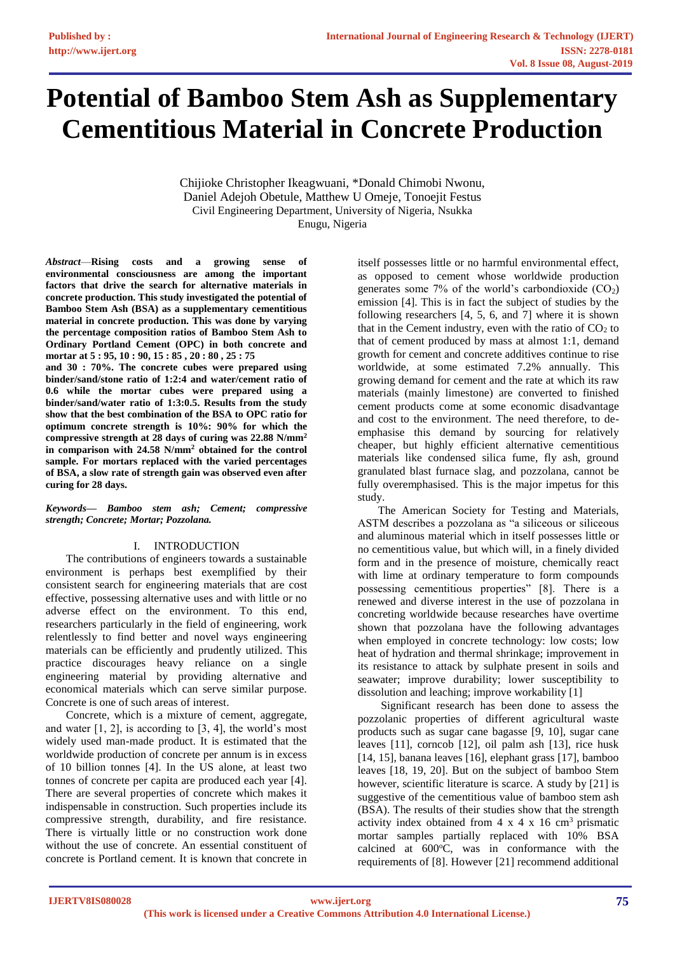# **Potential of Bamboo Stem Ash as Supplementary Cementitious Material in Concrete Production**

Chijioke Christopher Ikeagwuani, \*Donald Chimobi Nwonu, Daniel Adejoh Obetule, Matthew U Omeje, Tonoejit Festus Civil Engineering Department, University of Nigeria, Nsukka Enugu, Nigeria

*Abstract*—**Rising costs and a growing sense of environmental consciousness are among the important factors that drive the search for alternative materials in concrete production. This study investigated the potential of Bamboo Stem Ash (BSA) as a supplementary cementitious material in concrete production. This was done by varying the percentage composition ratios of Bamboo Stem Ash to Ordinary Portland Cement (OPC) in both concrete and mortar at 5 : 95, 10 : 90, 15 : 85 , 20 : 80 , 25 : 75** 

**and 30 : 70%. The concrete cubes were prepared using binder/sand/stone ratio of 1:2:4 and water/cement ratio of 0.6 while the mortar cubes were prepared using a binder/sand/water ratio of 1:3:0.5. Results from the study show that the best combination of the BSA to OPC ratio for optimum concrete strength is 10%: 90% for which the compressive strength at 28 days of curing was 22.88 N/mm<sup>2</sup> in comparison with 24.58 N/mm<sup>2</sup> obtained for the control sample. For mortars replaced with the varied percentages of BSA, a slow rate of strength gain was observed even after curing for 28 days.**

*Keywords— Bamboo stem ash; Cement; compressive strength; Concrete; Mortar; Pozzolana.*

#### I. INTRODUCTION

The contributions of engineers towards a sustainable environment is perhaps best exemplified by their consistent search for engineering materials that are cost effective, possessing alternative uses and with little or no adverse effect on the environment. To this end, researchers particularly in the field of engineering, work relentlessly to find better and novel ways engineering materials can be efficiently and prudently utilized. This practice discourages heavy reliance on a single engineering material by providing alternative and economical materials which can serve similar purpose. Concrete is one of such areas of interest.

Concrete, which is a mixture of cement, aggregate, and water  $[1, 2]$ , is according to  $[3, 4]$ , the world's most widely used man-made product. It is estimated that the worldwide production of concrete per annum is in excess of 10 billion tonnes [4]. In the US alone, at least two tonnes of concrete per capita are produced each year [4]. There are several properties of concrete which makes it indispensable in construction. Such properties include its compressive strength, durability, and fire resistance. There is virtually little or no construction work done without the use of concrete. An essential constituent of concrete is Portland cement. It is known that concrete in

itself possesses little or no harmful environmental effect, as opposed to cement whose worldwide production generates some 7% of the world's carbondioxide  $(CO<sub>2</sub>)$ emission [4]. This is in fact the subject of studies by the following researchers [4, 5, 6, and 7] where it is shown that in the Cement industry, even with the ratio of  $CO<sub>2</sub>$  to that of cement produced by mass at almost 1:1, demand growth for cement and concrete additives continue to rise worldwide, at some estimated 7.2% annually. This growing demand for cement and the rate at which its raw materials (mainly limestone) are converted to finished cement products come at some economic disadvantage and cost to the environment. The need therefore, to deemphasise this demand by sourcing for relatively cheaper, but highly efficient alternative cementitious materials like condensed silica fume, fly ash, ground granulated blast furnace slag, and pozzolana, cannot be fully overemphasised. This is the major impetus for this study.

The American Society for Testing and Materials, ASTM describes a pozzolana as "a siliceous or siliceous and aluminous material which in itself possesses little or no cementitious value, but which will, in a finely divided form and in the presence of moisture, chemically react with lime at ordinary temperature to form compounds possessing cementitious properties" [8]. There is a renewed and diverse interest in the use of pozzolana in concreting worldwide because researches have overtime shown that pozzolana have the following advantages when employed in concrete technology: low costs; low heat of hydration and thermal shrinkage; improvement in its resistance to attack by sulphate present in soils and seawater; improve durability; lower susceptibility to dissolution and leaching; improve workability [1]

Significant research has been done to assess the pozzolanic properties of different agricultural waste products such as sugar cane bagasse [9, 10], sugar cane leaves [11], corncob [12], oil palm ash [13], rice husk [14, 15], banana leaves [16], elephant grass [17], bamboo leaves [18, 19, 20]. But on the subject of bamboo Stem however, scientific literature is scarce. A study by [21] is suggestive of the cementitious value of bamboo stem ash (BSA). The results of their studies show that the strength activity index obtained from  $4 \times 4 \times 16$  cm<sup>3</sup> prismatic mortar samples partially replaced with 10% BSA calcined at  $600^{\circ}$ C, was in conformance with the requirements of [8]. However [21] recommend additional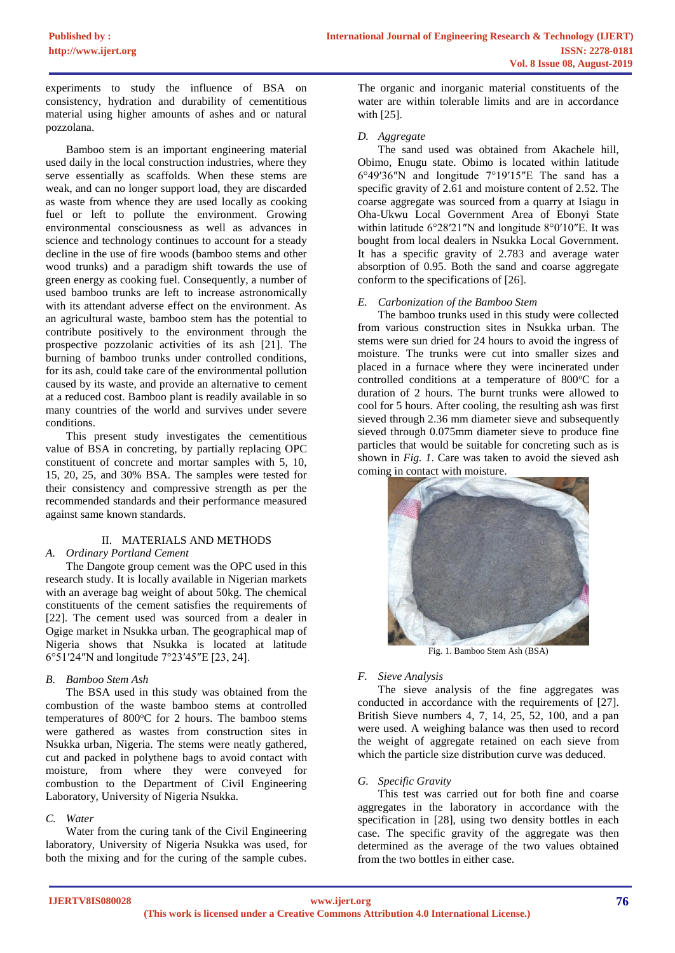experiments to study the influence of BSA on consistency, hydration and durability of cementitious material using higher amounts of ashes and or natural pozzolana.

Bamboo stem is an important engineering material used daily in the local construction industries, where they serve essentially as scaffolds. When these stems are weak, and can no longer support load, they are discarded as waste from whence they are used locally as cooking fuel or left to pollute the environment. Growing environmental consciousness as well as advances in science and technology continues to account for a steady decline in the use of fire woods (bamboo stems and other wood trunks) and a paradigm shift towards the use of green energy as cooking fuel. Consequently, a number of used bamboo trunks are left to increase astronomically with its attendant adverse effect on the environment. As an agricultural waste, bamboo stem has the potential to contribute positively to the environment through the prospective pozzolanic activities of its ash [21]. The burning of bamboo trunks under controlled conditions, for its ash, could take care of the environmental pollution caused by its waste, and provide an alternative to cement at a reduced cost. Bamboo plant is readily available in so many countries of the world and survives under severe conditions.

This present study investigates the cementitious value of BSA in concreting, by partially replacing OPC constituent of concrete and mortar samples with 5, 10, 15, 20, 25, and 30% BSA. The samples were tested for their consistency and compressive strength as per the recommended standards and their performance measured against same known standards.

# II. MATERIALS AND METHODS

*A. Ordinary Portland Cement*

The Dangote group cement was the OPC used in this research study. It is locally available in Nigerian markets with an average bag weight of about 50kg. The chemical constituents of the cement satisfies the requirements of [22]. The cement used was sourced from a dealer in Ogige market in Nsukka urban. The geographical map of Nigeria shows that Nsukka is located at latitude 6°51′24″N and longitude 7°23′45″E [23, 24].

# *B. Bamboo Stem Ash*

The BSA used in this study was obtained from the combustion of the waste bamboo stems at controlled temperatures of 800°C for 2 hours. The bamboo stems were gathered as wastes from construction sites in Nsukka urban, Nigeria. The stems were neatly gathered, cut and packed in polythene bags to avoid contact with moisture, from where they were conveyed for combustion to the Department of Civil Engineering Laboratory, University of Nigeria Nsukka.

# *C. Water*

Water from the curing tank of the Civil Engineering laboratory, University of Nigeria Nsukka was used, for both the mixing and for the curing of the sample cubes.

The organic and inorganic material constituents of the water are within tolerable limits and are in accordance with [25].

# *D. Aggregate*

The sand used was obtained from Akachele hill, Obimo, Enugu state. Obimo is located within latitude 6°49′36″N and longitude 7°19′15″E The sand has a specific gravity of 2.61 and moisture content of 2.52. The coarse aggregate was sourced from a quarry at Isiagu in Oha-Ukwu Local Government Area of Ebonyi State within latitude 6°28′21″N and longitude 8°0′10″E. It was bought from local dealers in Nsukka Local Government. It has a specific gravity of 2.783 and average water absorption of 0.95. Both the sand and coarse aggregate conform to the specifications of [26].

### *E. Carbonization of the Bamboo Stem*

The bamboo trunks used in this study were collected from various construction sites in Nsukka urban. The stems were sun dried for 24 hours to avoid the ingress of moisture. The trunks were cut into smaller sizes and placed in a furnace where they were incinerated under controlled conditions at a temperature of  $800^{\circ}$ C for a duration of 2 hours. The burnt trunks were allowed to cool for 5 hours. After cooling, the resulting ash was first sieved through 2.36 mm diameter sieve and subsequently sieved through 0.075mm diameter sieve to produce fine particles that would be suitable for concreting such as is shown in *Fig. 1*. Care was taken to avoid the sieved ash coming in contact with moisture.



Fig. 1. Bamboo Stem Ash (BSA)

# *F. Sieve Analysis*

The sieve analysis of the fine aggregates was conducted in accordance with the requirements of [27]. British Sieve numbers 4, 7, 14, 25, 52, 100, and a pan were used. A weighing balance was then used to record the weight of aggregate retained on each sieve from which the particle size distribution curve was deduced.

# *G. Specific Gravity*

This test was carried out for both fine and coarse aggregates in the laboratory in accordance with the specification in [28], using two density bottles in each case. The specific gravity of the aggregate was then determined as the average of the two values obtained from the two bottles in either case.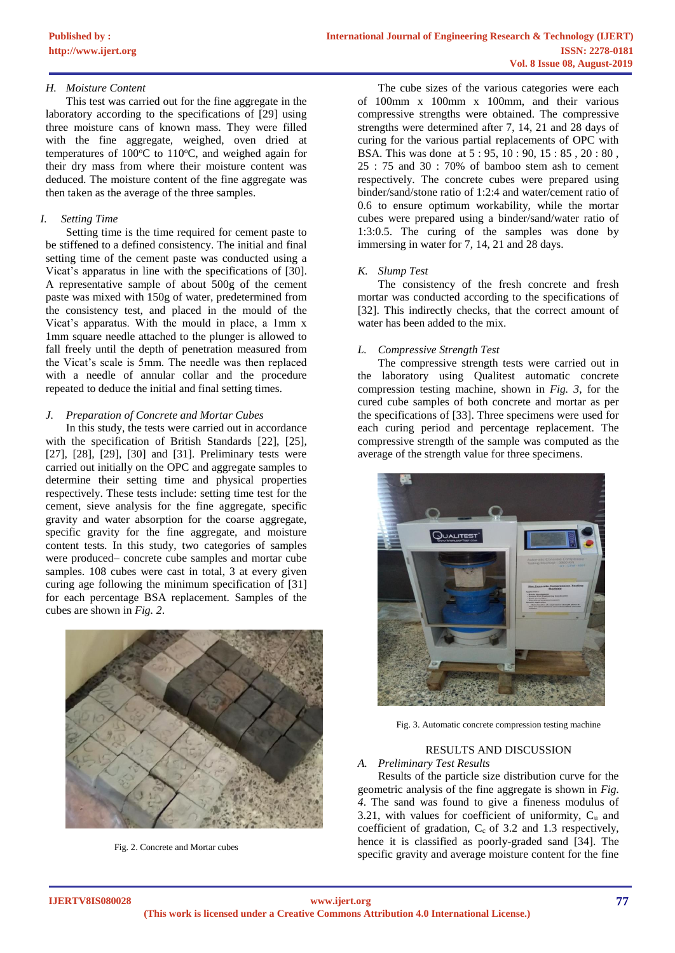#### *H. Moisture Content*

This test was carried out for the fine aggregate in the laboratory according to the specifications of [29] using three moisture cans of known mass. They were filled with the fine aggregate, weighed, oven dried at temperatures of  $100^{\circ}$ C to  $110^{\circ}$ C, and weighed again for their dry mass from where their moisture content was deduced. The moisture content of the fine aggregate was then taken as the average of the three samples.

#### *I. Setting Time*

Setting time is the time required for cement paste to be stiffened to a defined consistency. The initial and final setting time of the cement paste was conducted using a Vicat's apparatus in line with the specifications of [30]. A representative sample of about 500g of the cement paste was mixed with 150g of water, predetermined from the consistency test, and placed in the mould of the Vicat's apparatus. With the mould in place, a 1mm x 1mm square needle attached to the plunger is allowed to fall freely until the depth of penetration measured from the Vicat's scale is 5mm. The needle was then replaced with a needle of annular collar and the procedure repeated to deduce the initial and final setting times.

#### *J. Preparation of Concrete and Mortar Cubes*

In this study, the tests were carried out in accordance with the specification of British Standards [22], [25], [27], [28], [29], [30] and [31]. Preliminary tests were carried out initially on the OPC and aggregate samples to determine their setting time and physical properties respectively. These tests include: setting time test for the cement, sieve analysis for the fine aggregate, specific gravity and water absorption for the coarse aggregate, specific gravity for the fine aggregate, and moisture content tests. In this study, two categories of samples were produced– concrete cube samples and mortar cube samples. 108 cubes were cast in total, 3 at every given curing age following the minimum specification of [31] for each percentage BSA replacement. Samples of the cubes are shown in *Fig. 2*.



Fig. 2. Concrete and Mortar cubes

The cube sizes of the various categories were each of 100mm x 100mm x 100mm, and their various compressive strengths were obtained. The compressive strengths were determined after 7, 14, 21 and 28 days of curing for the various partial replacements of OPC with BSA. This was done at 5 : 95, 10 : 90, 15 : 85 , 20 : 80 , 25 : 75 and 30 : 70% of bamboo stem ash to cement respectively. The concrete cubes were prepared using binder/sand/stone ratio of 1:2:4 and water/cement ratio of 0.6 to ensure optimum workability, while the mortar cubes were prepared using a binder/sand/water ratio of 1:3:0.5. The curing of the samples was done by immersing in water for 7, 14, 21 and 28 days.

#### *K. Slump Test*

The consistency of the fresh concrete and fresh mortar was conducted according to the specifications of [32]. This indirectly checks, that the correct amount of water has been added to the mix.

#### *L. Compressive Strength Test*

The compressive strength tests were carried out in the laboratory using Qualitest automatic concrete compression testing machine, shown in *Fig. 3*, for the cured cube samples of both concrete and mortar as per the specifications of [33]. Three specimens were used for each curing period and percentage replacement. The compressive strength of the sample was computed as the average of the strength value for three specimens.



Fig. 3. Automatic concrete compression testing machine

### RESULTS AND DISCUSSION

#### *A. Preliminary Test Results*

Results of the particle size distribution curve for the geometric analysis of the fine aggregate is shown in *Fig. 4*. The sand was found to give a fineness modulus of 3.21, with values for coefficient of uniformity,  $C_u$  and coefficient of gradation,  $C_c$  of 3.2 and 1.3 respectively, hence it is classified as poorly-graded sand [34]. The specific gravity and average moisture content for the fine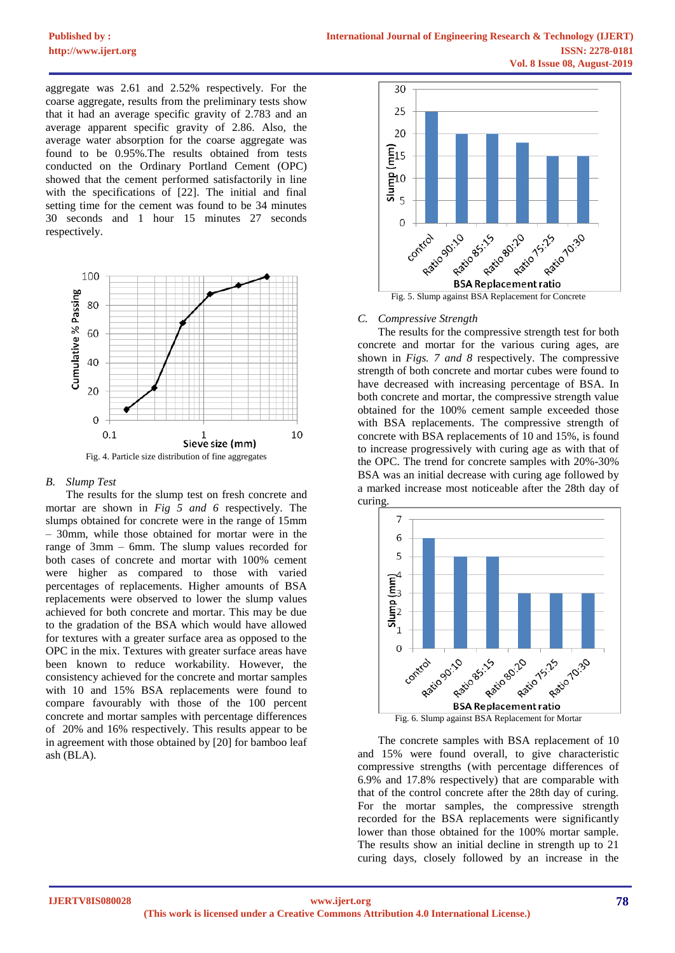# **[Published by :](www.ijert.org)**

aggregate was 2.61 and 2.52% respectively. For the coarse aggregate, results from the preliminary tests show that it had an average specific gravity of 2.783 and an average apparent specific gravity of 2.86. Also, the average water absorption for the coarse aggregate was found to be 0.95%.The results obtained from tests conducted on the Ordinary Portland Cement (OPC) showed that the cement performed satisfactorily in line with the specifications of [22]. The initial and final setting time for the cement was found to be 34 minutes 30 seconds and 1 hour 15 minutes 27 seconds respectively.



#### *B. Slump Test*

The results for the slump test on fresh concrete and mortar are shown in *Fig 5 and 6* respectively. The slumps obtained for concrete were in the range of 15mm – 30mm, while those obtained for mortar were in the range of 3mm – 6mm. The slump values recorded for both cases of concrete and mortar with 100% cement were higher as compared to those with varied percentages of replacements. Higher amounts of BSA replacements were observed to lower the slump values achieved for both concrete and mortar. This may be due to the gradation of the BSA which would have allowed for textures with a greater surface area as opposed to the OPC in the mix. Textures with greater surface areas have been known to reduce workability. However, the consistency achieved for the concrete and mortar samples with 10 and 15% BSA replacements were found to compare favourably with those of the 100 percent concrete and mortar samples with percentage differences of 20% and 16% respectively. This results appear to be in agreement with those obtained by [20] for bamboo leaf ash (BLA).



Fig. 5. Slump against BSA Replacement for Concrete

#### *C. Compressive Strength*

The results for the compressive strength test for both concrete and mortar for the various curing ages, are shown in *Figs. 7 and 8* respectively. The compressive strength of both concrete and mortar cubes were found to have decreased with increasing percentage of BSA. In both concrete and mortar, the compressive strength value obtained for the 100% cement sample exceeded those with BSA replacements. The compressive strength of concrete with BSA replacements of 10 and 15%, is found to increase progressively with curing age as with that of the OPC. The trend for concrete samples with 20%-30% BSA was an initial decrease with curing age followed by a marked increase most noticeable after the 28th day of curing.



Fig. 6. Slump against BSA Replacement for Mortar

The concrete samples with BSA replacement of 10 and 15% were found overall, to give characteristic compressive strengths (with percentage differences of 6.9% and 17.8% respectively) that are comparable with that of the control concrete after the 28th day of curing. For the mortar samples, the compressive strength recorded for the BSA replacements were significantly lower than those obtained for the 100% mortar sample. The results show an initial decline in strength up to 21 curing days, closely followed by an increase in the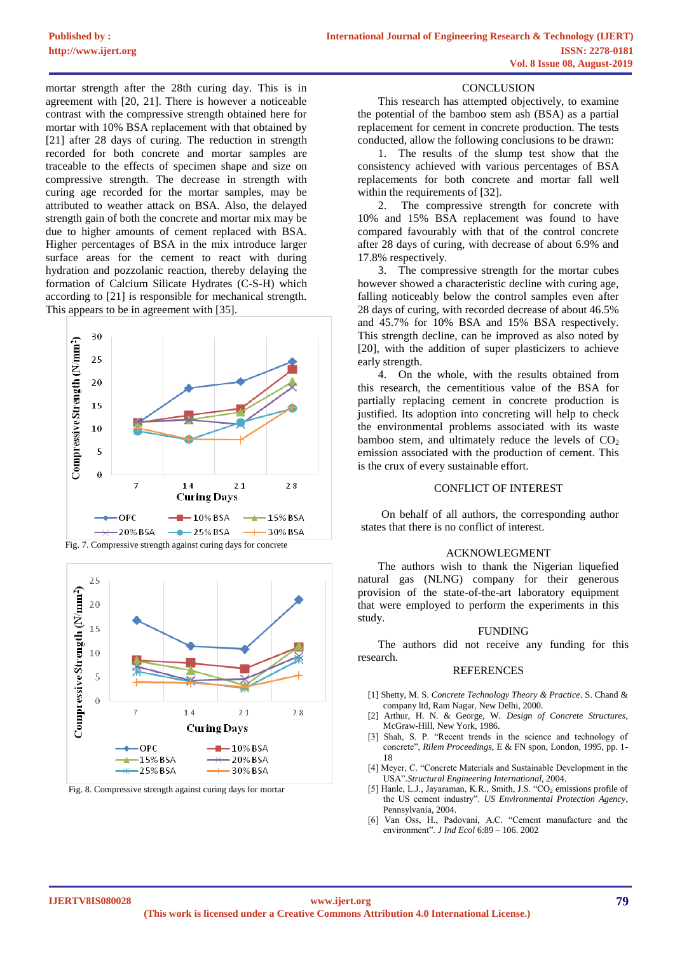mortar strength after the 28th curing day. This is in agreement with [20, 21]. There is however a noticeable contrast with the compressive strength obtained here for mortar with 10% BSA replacement with that obtained by [21] after 28 days of curing. The reduction in strength recorded for both concrete and mortar samples are traceable to the effects of specimen shape and size on compressive strength. The decrease in strength with curing age recorded for the mortar samples, may be attributed to weather attack on BSA. Also, the delayed strength gain of both the concrete and mortar mix may be due to higher amounts of cement replaced with BSA. Higher percentages of BSA in the mix introduce larger surface areas for the cement to react with during hydration and pozzolanic reaction, thereby delaying the formation of Calcium Silicate Hydrates (C-S-H) which according to [21] is responsible for mechanical strength. This appears to be in agreement with [35].





Fig. 8. Compressive strength against curing days for mortar

#### **CONCLUSION**

This research has attempted objectively, to examine the potential of the bamboo stem ash (BSA) as a partial replacement for cement in concrete production. The tests conducted, allow the following conclusions to be drawn:

1. The results of the slump test show that the consistency achieved with various percentages of BSA replacements for both concrete and mortar fall well within the requirements of [32].

2. The compressive strength for concrete with 10% and 15% BSA replacement was found to have compared favourably with that of the control concrete after 28 days of curing, with decrease of about 6.9% and 17.8% respectively.

3. The compressive strength for the mortar cubes however showed a characteristic decline with curing age, falling noticeably below the control samples even after 28 days of curing, with recorded decrease of about 46.5% and 45.7% for 10% BSA and 15% BSA respectively. This strength decline, can be improved as also noted by [20], with the addition of super plasticizers to achieve early strength.

4. On the whole, with the results obtained from this research, the cementitious value of the BSA for partially replacing cement in concrete production is justified. Its adoption into concreting will help to check the environmental problems associated with its waste bamboo stem, and ultimately reduce the levels of  $CO<sub>2</sub>$ emission associated with the production of cement. This is the crux of every sustainable effort.

#### CONFLICT OF INTEREST

On behalf of all authors, the corresponding author states that there is no conflict of interest.

#### ACKNOWLEGMENT

The authors wish to thank the Nigerian liquefied natural gas (NLNG) company for their generous provision of the state-of-the-art laboratory equipment that were employed to perform the experiments in this study.

#### FUNDING

The authors did not receive any funding for this research.

#### **REFERENCES**

- [1] Shetty, M. S. *Concrete Technology Theory & Practice*. S. Chand & company ltd, Ram Nagar, New Delhi, 2000.
- [2] Arthur, H. N. & George, W. *Design of Concrete Structures*, McGraw-Hill, New York, 1986.
- [3] Shah, S. P. "Recent trends in the science and technology of concrete", *Rilem Proceedings*, E & FN spon, London, 1995, pp. 1- 18
- [4] Meyer, C. "Concrete Materials and Sustainable Development in the USA"*.Structural Engineering International,* 2004.
- [5] Hanle, L.J., Jayaraman, K.R., Smith, J.S. "CO<sub>2</sub> emissions profile of the US cement industry". *US Environmental Protection Agency*, Pennsylvania, 2004.
- [6] Van Oss, H., Padovani, A.C. "Cement manufacture and the environment". *J Ind Ecol* 6:89 – 106. 2002